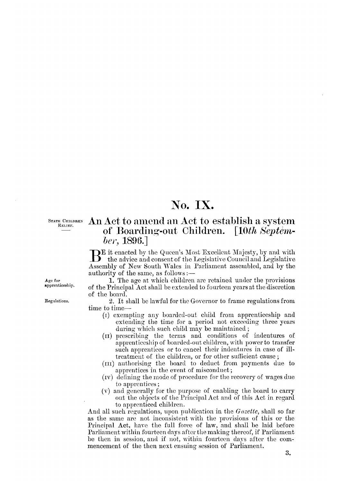# No. IX.

STATE CHILDREN RELIEF.

## An Act to amend an Act to establish a system of Boarding-out Children. [10th Septem-

### ber, 1896.

DE it enacted by the Queen's Most Excellent Majesty, by and with B the advice and consent of the Legislative Council and Legislative Assembly of New South Wales in Parliament assembled, and by the authority of the same, as follows :-

1. The age at which children are retained under the provisions of the Principal Act shall be extended to fourteen years at the discretion of the board.

2. It shall be lawful for the Governor to frame regulations from time to time-

- (1) exempting any boarded-out child from apprenticeship and extending the time for a period not exceeding three years during which such child may be maintained;
- (II) prescribing the terms and conditions of indentures of apprenticeship of boarded-out children, with power to transfer such apprentices or to cancel their indentures in case of illtreatment of the children, or for other sufficient cause;
- (III) authorising the board to deduct from payments due to apprentices in the event of misconduct;
- (IV) defining the mode of procedure for the recovery of wages due to apprentices;
- (v) and generally for the purpose of enabling the board to carry out the objects of the Principal Act and of this Act in regard to apprenticed children.

And all such regulations, upon publication in the *Gazette*, shall so far as the same are not inconsistent with the provisions of this or the Principal Act, have the full force of law, and shall be laid before Parliament within fourteen days after the making thereof, if Parliament be then in session, and if not, within fourteen days after the commencement of the then next ensuing session of Parliament.

#### Age for apprenticeship.

Regulations.